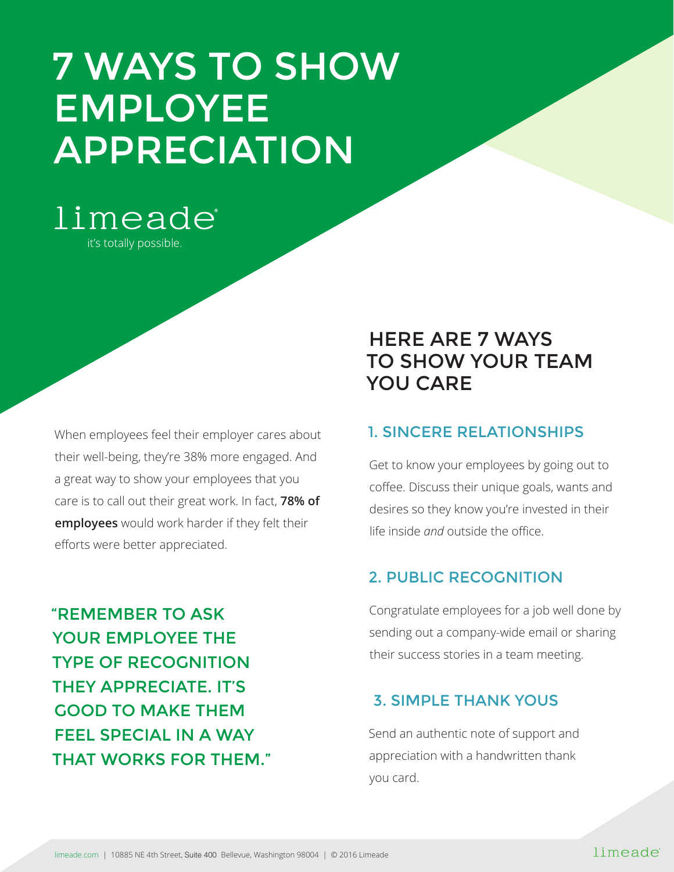# 7 WAYS TO SHOW EMPLOYEE APPRECIATION



When employees feel their employer cares about their well-being, they're 38% more engaged. And a great way to show your employees that you care is to call out their great work. In fact, **78% of employees** would work harder if they felt their efforts were better appreciated.

"REMEMBER TO ASK YOUR EMPLOYEE THE TYPE OF RECOGNITION THEY APPRECIATE. IT'S GOOD TO MAKE THEM FEEL SPECIAL IN A WAY THAT WORKS FOR THEM."

# HERE ARE 7 WAYS TO SHOW YOUR TEAM YOU CARE

# 1. SINCERE RELATIONSHIPS

Get to know your employees by going out to coffee. Discuss their unique goals, wants and desires so they know you're invested in their life inside *and* outside the office.

# 2. PUBLIC RECOGNITION

Congratulate employees for a job well done by sending out a company-wide email or sharing their success stories in a team meeting.

# 3. SIMPLE THANK YOUS

Send an authentic note of support and appreciation with a handwritten thank you card.

#### limeade